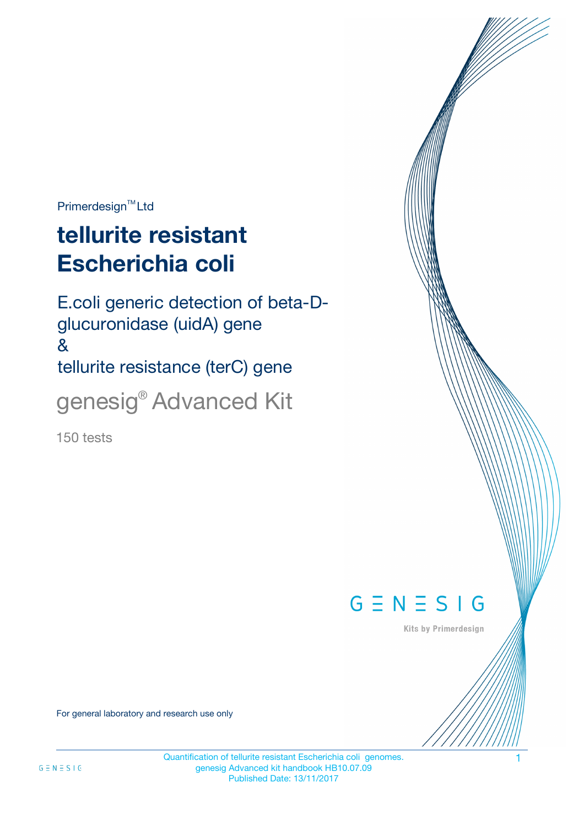$Primerdesign^{\text{TM}}$ Ltd

# **tellurite resistant Escherichia coli**

E.coli generic detection of beta-Dglucuronidase (uidA) gene & tellurite resistance (terC) gene genesig® Advanced Kit

150 tests



Kits by Primerdesign

For general laboratory and research use only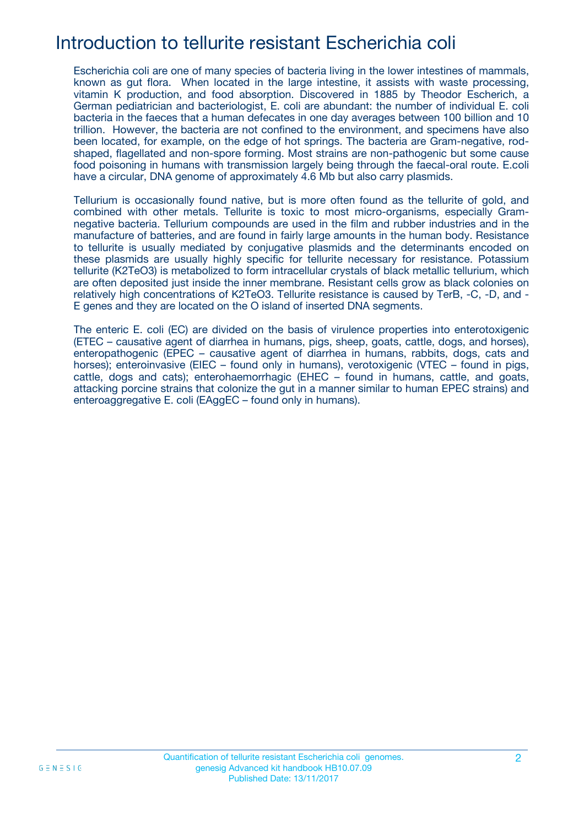### Introduction to tellurite resistant Escherichia coli

Escherichia coli are one of many species of bacteria living in the lower intestines of mammals, known as gut flora. When located in the large intestine, it assists with waste processing, vitamin K production, and food absorption. Discovered in 1885 by Theodor Escherich, a German pediatrician and bacteriologist, E. coli are abundant: the number of individual E. coli bacteria in the faeces that a human defecates in one day averages between 100 billion and 10 trillion. However, the bacteria are not confined to the environment, and specimens have also been located, for example, on the edge of hot springs. The bacteria are Gram-negative, rodshaped, flagellated and non-spore forming. Most strains are non-pathogenic but some cause food poisoning in humans with transmission largely being through the faecal-oral route. E.coli have a circular, DNA genome of approximately 4.6 Mb but also carry plasmids.

Tellurium is occasionally found native, but is more often found as the tellurite of gold, and combined with other metals. Tellurite is toxic to most micro-organisms, especially Gramnegative bacteria. Tellurium compounds are used in the film and rubber industries and in the manufacture of batteries, and are found in fairly large amounts in the human body. Resistance to tellurite is usually mediated by conjugative plasmids and the determinants encoded on these plasmids are usually highly specific for tellurite necessary for resistance. Potassium tellurite (K2TeO3) is metabolized to form intracellular crystals of black metallic tellurium, which are often deposited just inside the inner membrane. Resistant cells grow as black colonies on relatively high concentrations of K2TeO3. Tellurite resistance is caused by TerB, -C, -D, and - E genes and they are located on the O island of inserted DNA segments.

The enteric E. coli (EC) are divided on the basis of virulence properties into enterotoxigenic (ETEC – causative agent of diarrhea in humans, pigs, sheep, goats, cattle, dogs, and horses), enteropathogenic (EPEC – causative agent of diarrhea in humans, rabbits, dogs, cats and horses); enteroinvasive (EIEC – found only in humans), verotoxigenic (VTEC – found in pigs, cattle, dogs and cats); enterohaemorrhagic (EHEC – found in humans, cattle, and goats, attacking porcine strains that colonize the gut in a manner similar to human EPEC strains) and enteroaggregative E. coli (EAggEC – found only in humans).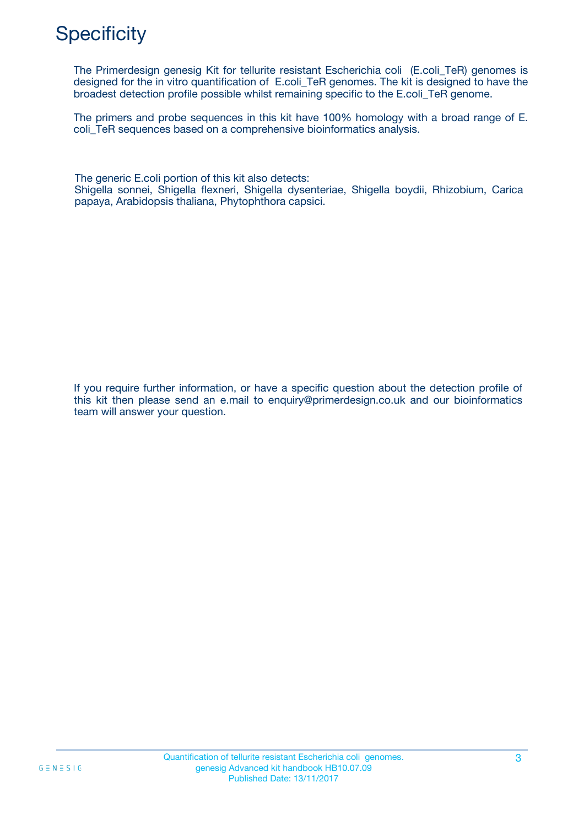# **Specificity**

The Primerdesign genesig Kit for tellurite resistant Escherichia coli (E.coli TeR) genomes is designed for the in vitro quantification of E.coli\_TeR genomes. The kit is designed to have the broadest detection profile possible whilst remaining specific to the E.coli\_TeR genome.

The primers and probe sequences in this kit have 100% homology with a broad range of E. coli\_TeR sequences based on a comprehensive bioinformatics analysis.

The generic E.coli portion of this kit also detects: Shigella sonnei, Shigella flexneri, Shigella dysenteriae, Shigella boydii, Rhizobium, Carica papaya, Arabidopsis thaliana, Phytophthora capsici.

If you require further information, or have a specific question about the detection profile of this kit then please send an e.mail to enquiry@primerdesign.co.uk and our bioinformatics team will answer your question.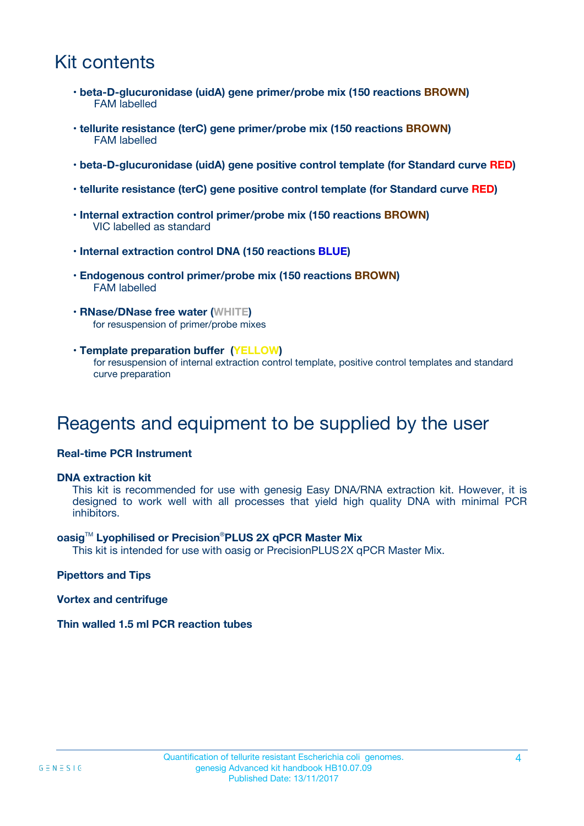## Kit contents

- **beta-D-glucuronidase (uidA) gene primer/probe mix (150 reactions BROWN)** FAM labelled
- **tellurite resistance (terC) gene primer/probe mix (150 reactions BROWN)** FAM labelled
- **beta-D-glucuronidase (uidA) gene positive control template (for Standard curve RED)**
- **tellurite resistance (terC) gene positive control template (for Standard curve RED)**
- **Internal extraction control primer/probe mix (150 reactions BROWN)** VIC labelled as standard
- **Internal extraction control DNA (150 reactions BLUE)**
- **Endogenous control primer/probe mix (150 reactions BROWN)** FAM labelled
- **RNase/DNase free water (WHITE)** for resuspension of primer/probe mixes
- **Template preparation buffer (YELLOW)** for resuspension of internal extraction control template, positive control templates and standard curve preparation

### Reagents and equipment to be supplied by the user

#### **Real-time PCR Instrument**

#### **DNA extraction kit**

This kit is recommended for use with genesig Easy DNA/RNA extraction kit. However, it is designed to work well with all processes that yield high quality DNA with minimal PCR inhibitors.

#### **oasig**TM **Lyophilised or Precision**®**PLUS 2X qPCR Master Mix**

This kit is intended for use with oasig or PrecisionPLUS2X qPCR Master Mix.

**Pipettors and Tips**

**Vortex and centrifuge**

**Thin walled 1.5 ml PCR reaction tubes**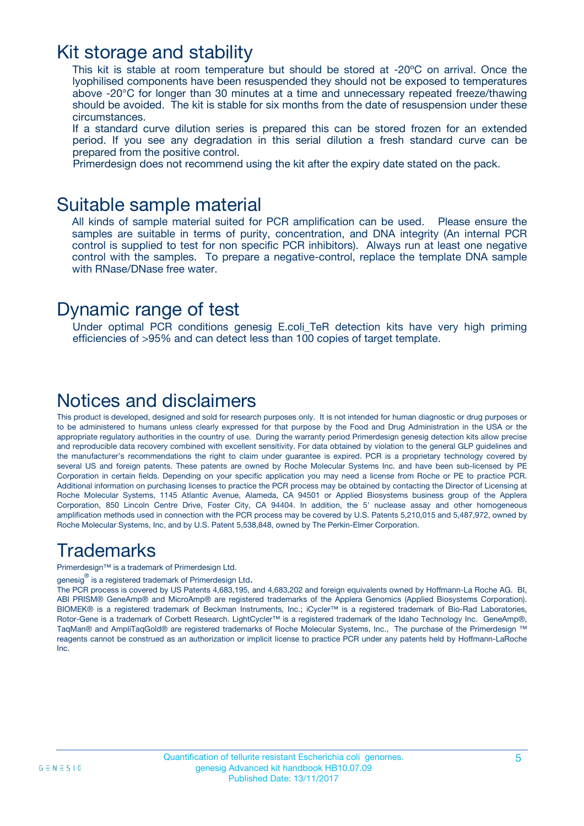### Kit storage and stability

This kit is stable at room temperature but should be stored at -20ºC on arrival. Once the lyophilised components have been resuspended they should not be exposed to temperatures above -20°C for longer than 30 minutes at a time and unnecessary repeated freeze/thawing should be avoided. The kit is stable for six months from the date of resuspension under these circumstances.

If a standard curve dilution series is prepared this can be stored frozen for an extended period. If you see any degradation in this serial dilution a fresh standard curve can be prepared from the positive control.

Primerdesign does not recommend using the kit after the expiry date stated on the pack.

### Suitable sample material

All kinds of sample material suited for PCR amplification can be used. Please ensure the samples are suitable in terms of purity, concentration, and DNA integrity (An internal PCR control is supplied to test for non specific PCR inhibitors). Always run at least one negative control with the samples. To prepare a negative-control, replace the template DNA sample with RNase/DNase free water.

### Dynamic range of test

Under optimal PCR conditions genesig E.coli\_TeR detection kits have very high priming efficiencies of >95% and can detect less than 100 copies of target template.

### Notices and disclaimers

This product is developed, designed and sold for research purposes only. It is not intended for human diagnostic or drug purposes or to be administered to humans unless clearly expressed for that purpose by the Food and Drug Administration in the USA or the appropriate regulatory authorities in the country of use. During the warranty period Primerdesign genesig detection kits allow precise and reproducible data recovery combined with excellent sensitivity. For data obtained by violation to the general GLP guidelines and the manufacturer's recommendations the right to claim under guarantee is expired. PCR is a proprietary technology covered by several US and foreign patents. These patents are owned by Roche Molecular Systems Inc. and have been sub-licensed by PE Corporation in certain fields. Depending on your specific application you may need a license from Roche or PE to practice PCR. Additional information on purchasing licenses to practice the PCR process may be obtained by contacting the Director of Licensing at Roche Molecular Systems, 1145 Atlantic Avenue, Alameda, CA 94501 or Applied Biosystems business group of the Applera Corporation, 850 Lincoln Centre Drive, Foster City, CA 94404. In addition, the 5' nuclease assay and other homogeneous amplification methods used in connection with the PCR process may be covered by U.S. Patents 5,210,015 and 5,487,972, owned by Roche Molecular Systems, Inc, and by U.S. Patent 5,538,848, owned by The Perkin-Elmer Corporation.

### **Trademarks**

Primerdesign™ is a trademark of Primerdesign Ltd.

genesig $^\circledR$  is a registered trademark of Primerdesign Ltd.

The PCR process is covered by US Patents 4,683,195, and 4,683,202 and foreign equivalents owned by Hoffmann-La Roche AG. BI, ABI PRISM® GeneAmp® and MicroAmp® are registered trademarks of the Applera Genomics (Applied Biosystems Corporation). BIOMEK® is a registered trademark of Beckman Instruments, Inc.; iCycler™ is a registered trademark of Bio-Rad Laboratories, Rotor-Gene is a trademark of Corbett Research. LightCycler™ is a registered trademark of the Idaho Technology Inc. GeneAmp®, TaqMan® and AmpliTaqGold® are registered trademarks of Roche Molecular Systems, Inc., The purchase of the Primerdesign ™ reagents cannot be construed as an authorization or implicit license to practice PCR under any patents held by Hoffmann-LaRoche Inc.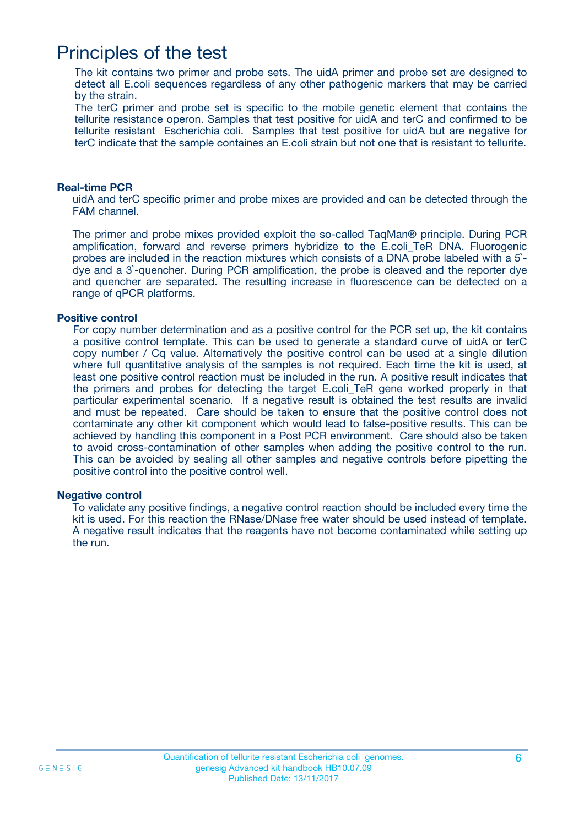### Principles of the test

The kit contains two primer and probe sets. The uidA primer and probe set are designed to detect all E.coli sequences regardless of any other pathogenic markers that may be carried by the strain.

The terC primer and probe set is specific to the mobile genetic element that contains the tellurite resistance operon. Samples that test positive for uidA and terC and confirmed to be tellurite resistant Escherichia coli. Samples that test positive for uidA but are negative for terC indicate that the sample containes an E.coli strain but not one that is resistant to tellurite.

#### **Real-time PCR**

uidA and terC specific primer and probe mixes are provided and can be detected through the FAM channel.

The primer and probe mixes provided exploit the so-called TaqMan® principle. During PCR amplification, forward and reverse primers hybridize to the E.coli\_TeR DNA. Fluorogenic probes are included in the reaction mixtures which consists of a DNA probe labeled with a 5` dye and a 3`-quencher. During PCR amplification, the probe is cleaved and the reporter dye and quencher are separated. The resulting increase in fluorescence can be detected on a range of qPCR platforms.

#### **Positive control**

For copy number determination and as a positive control for the PCR set up, the kit contains a positive control template. This can be used to generate a standard curve of uidA or terC copy number / Cq value. Alternatively the positive control can be used at a single dilution where full quantitative analysis of the samples is not required. Each time the kit is used, at least one positive control reaction must be included in the run. A positive result indicates that the primers and probes for detecting the target E.coli\_TeR gene worked properly in that particular experimental scenario. If a negative result is obtained the test results are invalid and must be repeated. Care should be taken to ensure that the positive control does not contaminate any other kit component which would lead to false-positive results. This can be achieved by handling this component in a Post PCR environment. Care should also be taken to avoid cross-contamination of other samples when adding the positive control to the run. This can be avoided by sealing all other samples and negative controls before pipetting the positive control into the positive control well.

#### **Negative control**

To validate any positive findings, a negative control reaction should be included every time the kit is used. For this reaction the RNase/DNase free water should be used instead of template. A negative result indicates that the reagents have not become contaminated while setting up the run.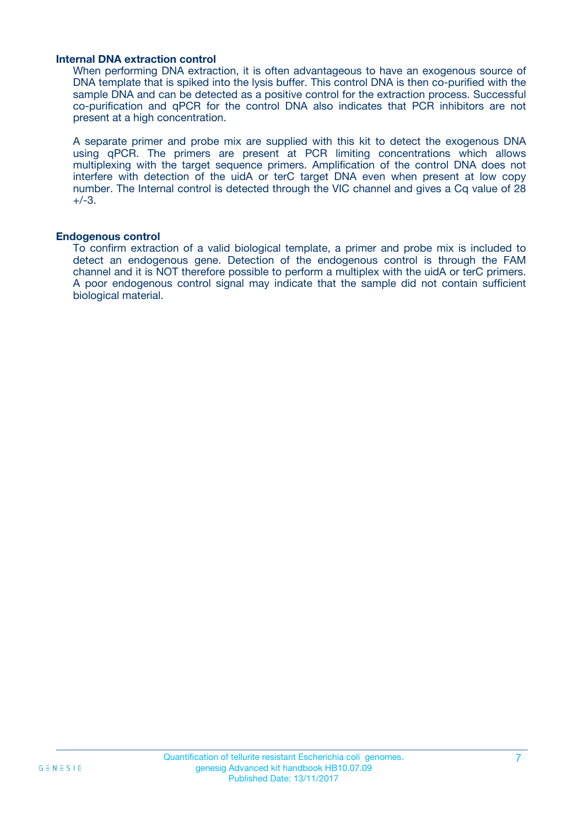#### **Internal DNA extraction control**

When performing DNA extraction, it is often advantageous to have an exogenous source of DNA template that is spiked into the lysis buffer. This control DNA is then co-purified with the sample DNA and can be detected as a positive control for the extraction process. Successful co-purification and qPCR for the control DNA also indicates that PCR inhibitors are not present at a high concentration.

A separate primer and probe mix are supplied with this kit to detect the exogenous DNA using qPCR. The primers are present at PCR limiting concentrations which allows multiplexing with the target sequence primers. Amplification of the control DNA does not interfere with detection of the uidA or terC target DNA even when present at low copy number. The Internal control is detected through the VIC channel and gives a Cq value of 28  $+/-3.$ 

#### **Endogenous control**

To confirm extraction of a valid biological template, a primer and probe mix is included to detect an endogenous gene. Detection of the endogenous control is through the FAM channel and it is NOT therefore possible to perform a multiplex with the uidA or terC primers. A poor endogenous control signal may indicate that the sample did not contain sufficient biological material.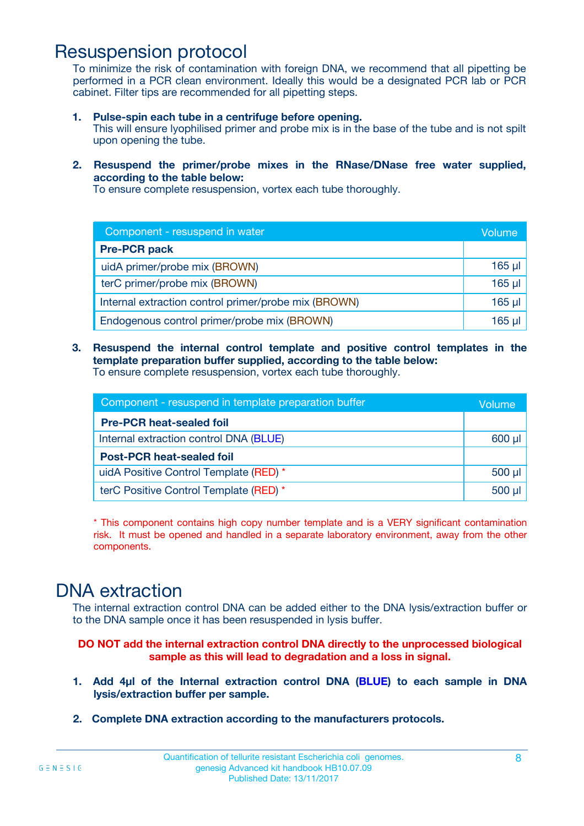### Resuspension protocol

To minimize the risk of contamination with foreign DNA, we recommend that all pipetting be performed in a PCR clean environment. Ideally this would be a designated PCR lab or PCR cabinet. Filter tips are recommended for all pipetting steps.

- **1. Pulse-spin each tube in a centrifuge before opening.** This will ensure lyophilised primer and probe mix is in the base of the tube and is not spilt upon opening the tube.
- **2. Resuspend the primer/probe mixes in the RNase/DNase free water supplied, according to the table below:**

To ensure complete resuspension, vortex each tube thoroughly.

| Component - resuspend in water                       |             |  |
|------------------------------------------------------|-------------|--|
| <b>Pre-PCR pack</b>                                  |             |  |
| uidA primer/probe mix (BROWN)                        | $165$ $\mu$ |  |
| terC primer/probe mix (BROWN)                        | $165$ $\mu$ |  |
| Internal extraction control primer/probe mix (BROWN) | $165$ $\mu$ |  |
| Endogenous control primer/probe mix (BROWN)          | 165 µl      |  |

**3. Resuspend the internal control template and positive control templates in the template preparation buffer supplied, according to the table below:** To ensure complete resuspension, vortex each tube thoroughly.

| Component - resuspend in template preparation buffer |             |  |  |
|------------------------------------------------------|-------------|--|--|
| <b>Pre-PCR heat-sealed foil</b>                      |             |  |  |
| Internal extraction control DNA (BLUE)               | $600$ $\mu$ |  |  |
| <b>Post-PCR heat-sealed foil</b>                     |             |  |  |
| uidA Positive Control Template (RED) *               | 500 µl      |  |  |
| terC Positive Control Template (RED) *               |             |  |  |

\* This component contains high copy number template and is a VERY significant contamination risk. It must be opened and handled in a separate laboratory environment, away from the other components.

### DNA extraction

The internal extraction control DNA can be added either to the DNA lysis/extraction buffer or to the DNA sample once it has been resuspended in lysis buffer.

**DO NOT add the internal extraction control DNA directly to the unprocessed biological sample as this will lead to degradation and a loss in signal.**

- **1. Add 4µl of the Internal extraction control DNA (BLUE) to each sample in DNA lysis/extraction buffer per sample.**
- **2. Complete DNA extraction according to the manufacturers protocols.**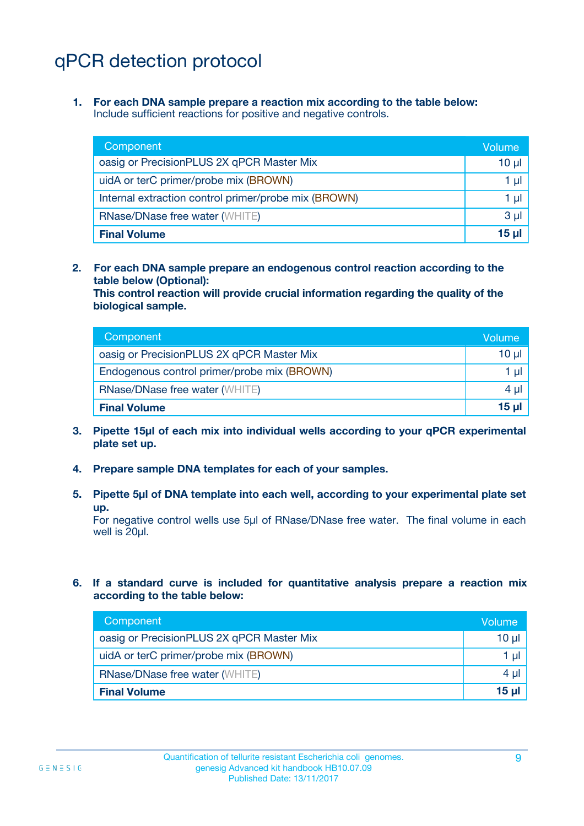# qPCR detection protocol

**1. For each DNA sample prepare a reaction mix according to the table below:** Include sufficient reactions for positive and negative controls.

| Component                                            | Volume  |
|------------------------------------------------------|---------|
| oasig or PrecisionPLUS 2X qPCR Master Mix            | 10 µl   |
| uidA or terC primer/probe mix (BROWN)                | 1 µl    |
| Internal extraction control primer/probe mix (BROWN) | 1 µI    |
| <b>RNase/DNase free water (WHITE)</b>                | $3 \mu$ |
| <b>Final Volume</b>                                  | 15 µl   |

**2. For each DNA sample prepare an endogenous control reaction according to the table below (Optional):**

**This control reaction will provide crucial information regarding the quality of the biological sample.**

| Component                                   | Volume |
|---------------------------------------------|--------|
| oasig or PrecisionPLUS 2X qPCR Master Mix   | 10 µl  |
| Endogenous control primer/probe mix (BROWN) | 1 µI   |
| <b>RNase/DNase free water (WHITE)</b>       | 4 ul   |
| <b>Final Volume</b>                         | 15 ul  |

- **3. Pipette 15µl of each mix into individual wells according to your qPCR experimental plate set up.**
- **4. Prepare sample DNA templates for each of your samples.**
- **5. Pipette 5µl of DNA template into each well, according to your experimental plate set up.**

For negative control wells use 5µl of RNase/DNase free water. The final volume in each well is 20µl.

**6. If a standard curve is included for quantitative analysis prepare a reaction mix according to the table below:**

| Component                                 | Volume       |
|-------------------------------------------|--------------|
| oasig or PrecisionPLUS 2X qPCR Master Mix | 10 µl        |
| uidA or terC primer/probe mix (BROWN)     | 1 µl         |
| <b>RNase/DNase free water (WHITE)</b>     | 4 µl         |
| <b>Final Volume</b>                       | <u>15 µl</u> |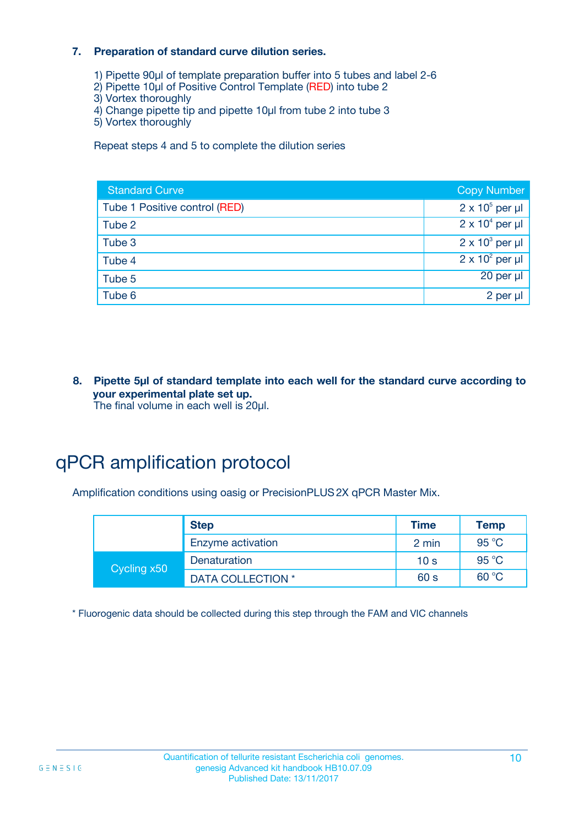#### **7. Preparation of standard curve dilution series.**

- 1) Pipette 90µl of template preparation buffer into 5 tubes and label 2-6
- 2) Pipette 10µl of Positive Control Template (RED) into tube 2
- 3) Vortex thoroughly
- 4) Change pipette tip and pipette 10µl from tube 2 into tube 3
- 5) Vortex thoroughly

Repeat steps 4 and 5 to complete the dilution series International Units No international units

| <b>Standard Curve</b>         | <b>Copy Number</b>     |
|-------------------------------|------------------------|
| Tube 1 Positive control (RED) | $2 \times 10^5$ per µl |
| Tube 2                        | $2 \times 10^4$ per µl |
| Tube 3                        | $2 \times 10^3$ per µl |
| Tube 4                        | $2 \times 10^2$ per µl |
| Tube 5                        | 20 per µl              |
| Tube 6                        | 2 per µl               |

**8. Pipette 5µl of standard template into each well for the standard curve according to your experimental plate set up.** The final volume in each well is 20µl.

### qPCR amplification protocol

Amplification conditions using oasig or PrecisionPLUS2X qPCR Master Mix.

|             | <b>Step</b>       | <b>Time</b>     | Temp  |
|-------------|-------------------|-----------------|-------|
|             | Enzyme activation | 2 min           | 95 °C |
| Cycling x50 | Denaturation      | 10 <sub>s</sub> | 95 °C |
|             | DATA COLLECTION * | 60 s            | 60 °C |

\* Fluorogenic data should be collected during this step through the FAM and VIC channels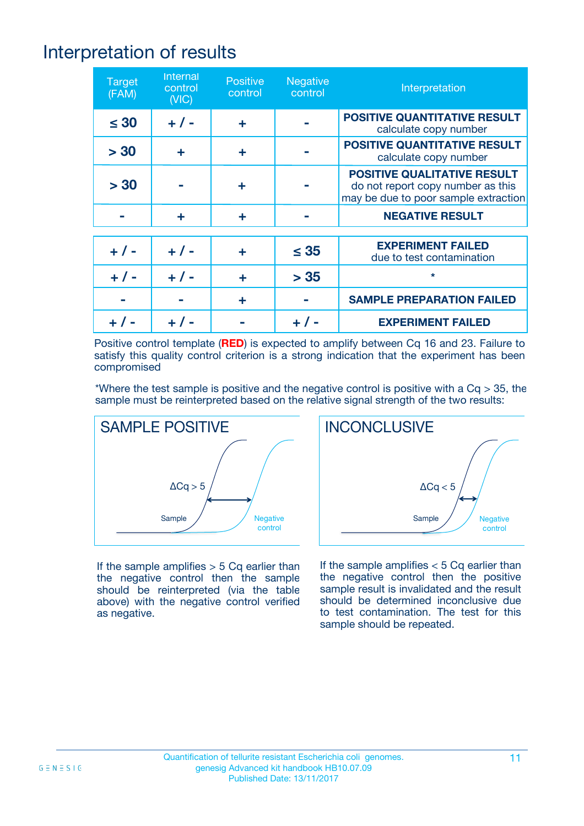# Interpretation of results

| <b>Target</b><br>(FAM) | <b>Internal</b><br>control<br>(NIC) | <b>Positive</b><br>control | <b>Negative</b><br>control | Interpretation                                                                                                  |
|------------------------|-------------------------------------|----------------------------|----------------------------|-----------------------------------------------------------------------------------------------------------------|
| $\leq 30$              | $+ 1 -$                             | ÷                          |                            | <b>POSITIVE QUANTITATIVE RESULT</b><br>calculate copy number                                                    |
| > 30                   | ÷                                   | ÷                          |                            | <b>POSITIVE QUANTITATIVE RESULT</b><br>calculate copy number                                                    |
| > 30                   |                                     | ÷                          |                            | <b>POSITIVE QUALITATIVE RESULT</b><br>do not report copy number as this<br>may be due to poor sample extraction |
|                        | ÷                                   | ÷                          |                            | <b>NEGATIVE RESULT</b>                                                                                          |
|                        |                                     |                            |                            |                                                                                                                 |
| $+ 1 -$                | $+ 1 -$                             |                            | $\leq$ 35                  | <b>EXPERIMENT FAILED</b><br>due to test contamination                                                           |
| $+ 1 -$                | $+ 1 -$                             | ÷                          | > 35                       | $\star$                                                                                                         |
|                        |                                     | ÷                          |                            | <b>SAMPLE PREPARATION FAILED</b>                                                                                |
|                        |                                     |                            |                            | <b>EXPERIMENT FAILED</b>                                                                                        |

Positive control template (**RED**) is expected to amplify between Cq 16 and 23. Failure to satisfy this quality control criterion is a strong indication that the experiment has been compromised

\*Where the test sample is positive and the negative control is positive with a  $Cq > 35$ , the sample must be reinterpreted based on the relative signal strength of the two results:



If the sample amplifies  $> 5$  Cq earlier than the negative control then the sample should be reinterpreted (via the table above) with the negative control verified as negative.



If the sample amplifies  $< 5$  Cq earlier than the negative control then the positive sample result is invalidated and the result should be determined inconclusive due to test contamination. The test for this sample should be repeated.